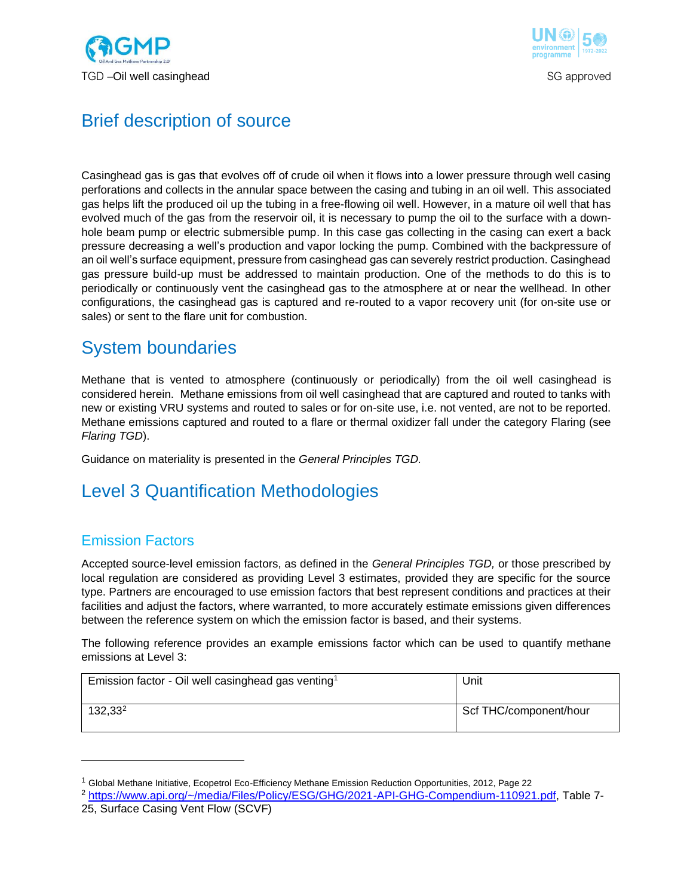



## Brief description of source

Casinghead gas is gas that evolves off of crude oil when it flows into a lower pressure through well casing perforations and collects in the annular space between the casing and tubing in an oil well. This associated gas helps lift the produced oil up the tubing in a free-flowing oil well. However, in a mature oil well that has evolved much of the gas from the reservoir oil, it is necessary to pump the oil to the surface with a downhole beam pump or electric submersible pump. In this case gas collecting in the casing can exert a back pressure decreasing a well's production and vapor locking the pump. Combined with the backpressure of an oil well's surface equipment, pressure from casinghead gas can severely restrict production. Casinghead gas pressure build-up must be addressed to maintain production. One of the methods to do this is to periodically or continuously vent the casinghead gas to the atmosphere at or near the wellhead. In other configurations, the casinghead gas is captured and re-routed to a vapor recovery unit (for on-site use or sales) or sent to the flare unit for combustion.

### System boundaries

Methane that is vented to atmosphere (continuously or periodically) from the oil well casinghead is considered herein. Methane emissions from oil well casinghead that are captured and routed to tanks with new or existing VRU systems and routed to sales or for on-site use, i.e. not vented, are not to be reported. Methane emissions captured and routed to a flare or thermal oxidizer fall under the category Flaring (see *Flaring TGD*).

Guidance on materiality is presented in the *General Principles TGD.*

# Level 3 Quantification Methodologies

### Emission Factors

Accepted source-level emission factors, as defined in the *General Principles TGD,* or those prescribed by local regulation are considered as providing Level 3 estimates, provided they are specific for the source type. Partners are encouraged to use emission factors that best represent conditions and practices at their facilities and adjust the factors, where warranted, to more accurately estimate emissions given differences between the reference system on which the emission factor is based, and their systems.

The following reference provides an example emissions factor which can be used to quantify methane emissions at Level 3:

| Emission factor - Oil well casinghead gas venting <sup>1</sup> | Unit                   |
|----------------------------------------------------------------|------------------------|
| $132,33^2$                                                     | Scf THC/component/hour |

<sup>1</sup> Global Methane Initiative, Ecopetrol Eco-Efficiency Methane Emission Reduction Opportunities, 2012, Page 22

<sup>2</sup> [https://www.api.org/~/media/Files/Policy/ESG/GHG/2021-API-GHG-Compendium-110921.pdf,](https://www.api.org/~/media/Files/Policy/ESG/GHG/2021-API-GHG-Compendium-110921.pdf) Table 7-

<sup>25,</sup> Surface Casing Vent Flow (SCVF)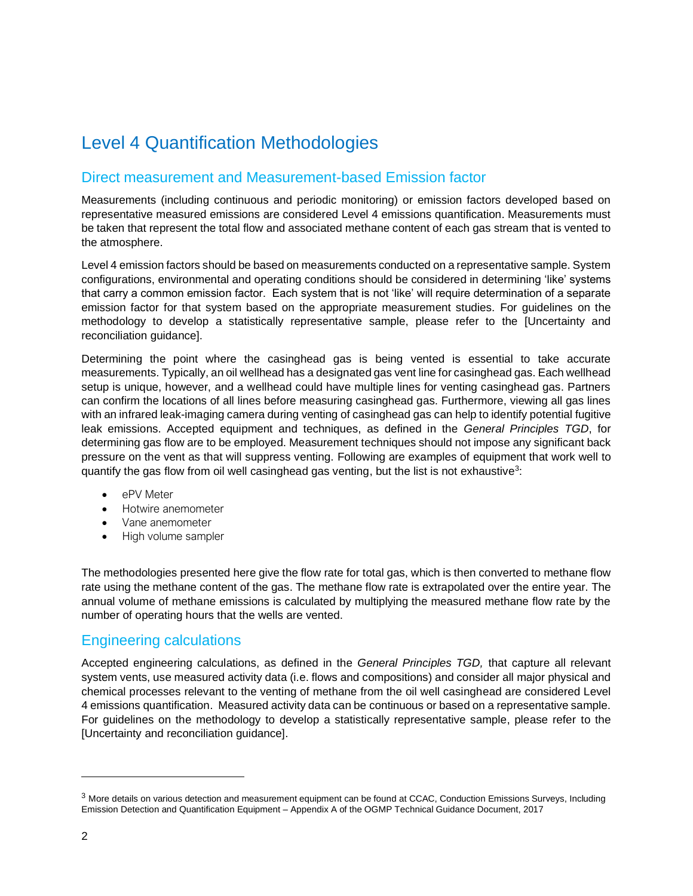# Level 4 Quantification Methodologies

### Direct measurement and Measurement-based Emission factor

Measurements (including continuous and periodic monitoring) or emission factors developed based on representative measured emissions are considered Level 4 emissions quantification. Measurements must be taken that represent the total flow and associated methane content of each gas stream that is vented to the atmosphere.

Level 4 emission factors should be based on measurements conducted on a representative sample. System configurations, environmental and operating conditions should be considered in determining 'like' systems that carry a common emission factor. Each system that is not 'like' will require determination of a separate emission factor for that system based on the appropriate measurement studies. For guidelines on the methodology to develop a statistically representative sample, please refer to the [Uncertainty and reconciliation guidance].

Determining the point where the casinghead gas is being vented is essential to take accurate measurements. Typically, an oil wellhead has a designated gas vent line for casinghead gas. Each wellhead setup is unique, however, and a wellhead could have multiple lines for venting casinghead gas. Partners can confirm the locations of all lines before measuring casinghead gas. Furthermore, viewing all gas lines with an infrared leak-imaging camera during venting of casinghead gas can help to identify potential fugitive leak emissions. Accepted equipment and techniques, as defined in the *General Principles TGD*, for determining gas flow are to be employed. Measurement techniques should not impose any significant back pressure on the vent as that will suppress venting. Following are examples of equipment that work well to quantify the gas flow from oil well casinghead gas venting, but the list is not exhaustive<sup>3</sup>:

- ePV Meter
- Hotwire anemometer
- Vane anemometer
- High volume sampler

The methodologies presented here give the flow rate for total gas, which is then converted to methane flow rate using the methane content of the gas. The methane flow rate is extrapolated over the entire year. The annual volume of methane emissions is calculated by multiplying the measured methane flow rate by the number of operating hours that the wells are vented.

#### Engineering calculations

Accepted engineering calculations, as defined in the *General Principles TGD,* that capture all relevant system vents, use measured activity data (i.e. flows and compositions) and consider all major physical and chemical processes relevant to the venting of methane from the oil well casinghead are considered Level 4 emissions quantification. Measured activity data can be continuous or based on a representative sample. For guidelines on the methodology to develop a statistically representative sample, please refer to the [Uncertainty and reconciliation guidance].

 $3$  More details on various detection and measurement equipment can be found at CCAC, Conduction Emissions Surveys, Including Emission Detection and Quantification Equipment – Appendix A of the OGMP Technical Guidance Document, 2017